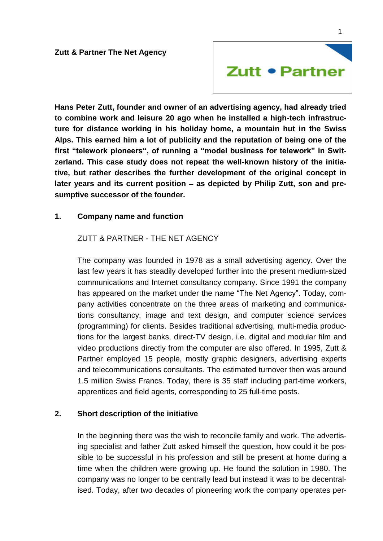

**Hans Peter Zutt, founder and owner of an advertising agency, had already tried to combine work and leisure 20 ago when he installed a high-tech infrastructure for distance working in his holiday home, a mountain hut in the Swiss Alps. This earned him a lot of publicity and the reputation of being one of the first "telework pioneers", of running a "model business for telework" in Switzerland. This case study does not repeat the well-known history of the initiative, but rather describes the further development of the original concept in**  later years and its current position – as depicted by Philip Zutt, son and pre**sumptive successor of the founder.**

## **1. Company name and function**

ZUTT & PARTNER - THE NET AGENCY

The company was founded in 1978 as a small advertising agency. Over the last few years it has steadily developed further into the present medium-sized communications and Internet consultancy company. Since 1991 the company has appeared on the market under the name "The Net Agency". Today, company activities concentrate on the three areas of marketing and communications consultancy, image and text design, and computer science services (programming) for clients. Besides traditional advertising, multi-media productions for the largest banks, direct-TV design, i.e. digital and modular film and video productions directly from the computer are also offered. In 1995, Zutt & Partner employed 15 people, mostly graphic designers, advertising experts and telecommunications consultants. The estimated turnover then was around 1.5 million Swiss Francs. Today, there is 35 staff including part-time workers, apprentices and field agents, corresponding to 25 full-time posts.

## **2. Short description of the initiative**

In the beginning there was the wish to reconcile family and work. The advertising specialist and father Zutt asked himself the question, how could it be possible to be successful in his profession and still be present at home during a time when the children were growing up. He found the solution in 1980. The company was no longer to be centrally lead but instead it was to be decentralised. Today, after two decades of pioneering work the company operates per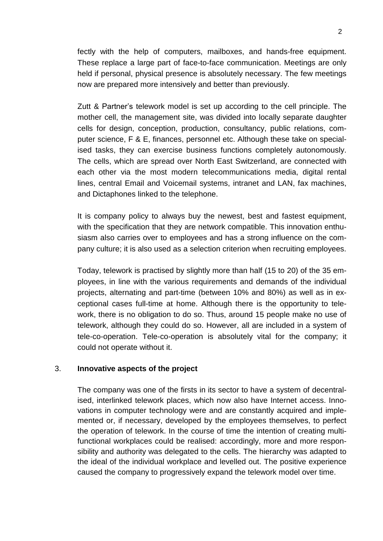fectly with the help of computers, mailboxes, and hands-free equipment. These replace a large part of face-to-face communication. Meetings are only held if personal, physical presence is absolutely necessary. The few meetings now are prepared more intensively and better than previously.

Zutt & Partner's telework model is set up according to the cell principle. The mother cell, the management site, was divided into locally separate daughter cells for design, conception, production, consultancy, public relations, computer science, F & E, finances, personnel etc. Although these take on specialised tasks, they can exercise business functions completely autonomously. The cells, which are spread over North East Switzerland, are connected with each other via the most modern telecommunications media, digital rental lines, central Email and Voicemail systems, intranet and LAN, fax machines, and Dictaphones linked to the telephone.

It is company policy to always buy the newest, best and fastest equipment, with the specification that they are network compatible. This innovation enthusiasm also carries over to employees and has a strong influence on the company culture; it is also used as a selection criterion when recruiting employees.

Today, telework is practised by slightly more than half (15 to 20) of the 35 employees, in line with the various requirements and demands of the individual projects, alternating and part-time (between 10% and 80%) as well as in exceptional cases full-time at home. Although there is the opportunity to telework, there is no obligation to do so. Thus, around 15 people make no use of telework, although they could do so. However, all are included in a system of tele-co-operation. Tele-co-operation is absolutely vital for the company; it could not operate without it.

## 3. **Innovative aspects of the project**

The company was one of the firsts in its sector to have a system of decentralised, interlinked telework places, which now also have Internet access. Innovations in computer technology were and are constantly acquired and implemented or, if necessary, developed by the employees themselves, to perfect the operation of telework. In the course of time the intention of creating multifunctional workplaces could be realised: accordingly, more and more responsibility and authority was delegated to the cells. The hierarchy was adapted to the ideal of the individual workplace and levelled out. The positive experience caused the company to progressively expand the telework model over time.